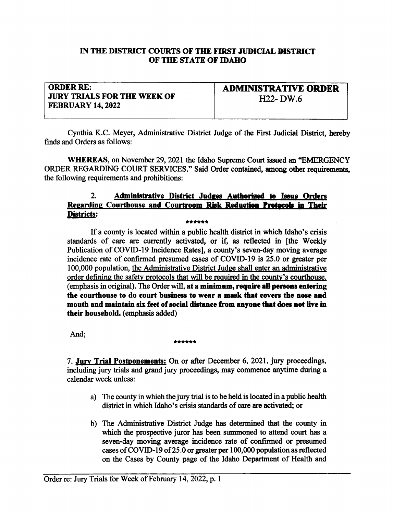## IN THE DISTRICT COURTS OF THE FIRST JUDICIAL DISTRICT OF THE STATE OF IDAHO

## ORDER RE: **JURY TRIALS FOR THE WEEK OF** FEBRUARY 14,2022

ADMINISTRATIVE ORDER 1122- DW.6

Cynthia K.C. Meyer, Administrative District Judge of the First Judicial District, hereby finds and Orders as follows:

WHEREAS, on November 29, 2021 the Idaho Supreme Court issued an "EMERGENCY ORDER REGARDING COURT SERVICES." Said Order contained, among other requirements, the following requirements and prohibitions:

## 2. Administrative District Judges Authorized to Issue Orders Regarding Courthouse and Courtroom Risk Reduction Protocols in Their<br>Districts: **Districts:** \*\*\*\*\*\*

If a county is located within a public health district in which Idaho's crisis standards of care are currently activated, or if, as reflected in [the Weekly Publication of COVID-I9 Incidence Rates], a county's seven-day moving average incidence rate of confirmed presumed cases of COVID-I9 is 25.0 or greater per 100,000 population, the Administrative District Judge shall enter an administrative order defining the safety protocols that will be required in the county's courthouse. (emphasis in original). The Order will, at a minimum, require all persons entering the courthouse to do court business to wear a mask that covers the nose and mouth and maintain six feet of social distance from anyone that does not live in their household. (emphasis added)

## And; \*\*\*\*\*\*\*

7. Jury Trial Postponements: On or after December 6, 2021, jury proceedings, including jury trials and grand jury proceedings, may commence anytime during a calendar week unless:

- a) The county in which the jury trial is to be held is located in a public health distict in which Idaho's crisis standards of care are activated; or
- b) The Administrative District Judge has determined that the county in which the prospective juror has been summoned to attend court has a seven-day moving average incidence rate of confirmed or presumed cases of COVID-19 of 25.0 or greater per  $100,000$  population as reflected on the Cases by County page of the Idaho Department of Health and